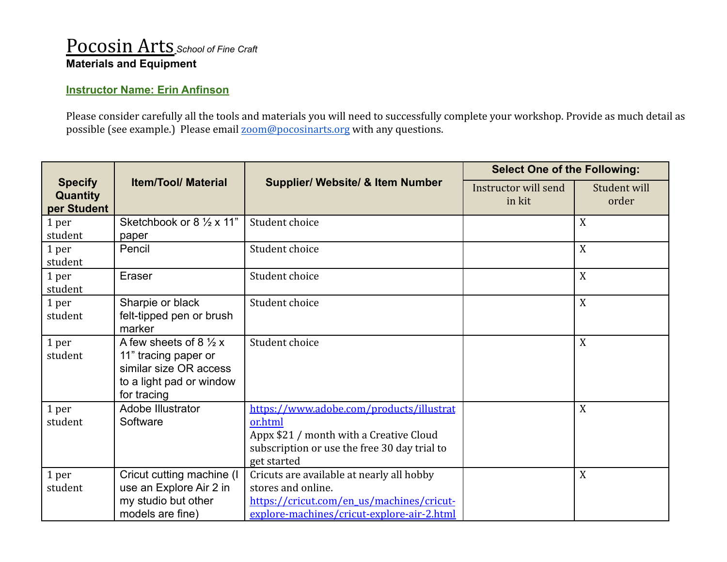## Pocosin Arts *School of Fine Craft* **Materials and Equipment**

## **Instructor Name: Erin Anfinson**

Please consider carefully all the tools and materials you will need to successfully complete your workshop. Provide as much detail as possible (see example.) Please email [zoom@pocosinarts.org](mailto:zoom@pocosinarts.org) with any questions.

| <b>Specify</b><br><b>Quantity</b><br>per Student | <b>Item/Tool/ Material</b>                                                                                                    | <b>Supplier/ Website/ &amp; Item Number</b>                                                                                                                   | <b>Select One of the Following:</b> |                       |
|--------------------------------------------------|-------------------------------------------------------------------------------------------------------------------------------|---------------------------------------------------------------------------------------------------------------------------------------------------------------|-------------------------------------|-----------------------|
|                                                  |                                                                                                                               |                                                                                                                                                               | Instructor will send<br>in kit      | Student will<br>order |
| 1 per<br>student                                 | Sketchbook or 8 1/2 x 11"<br>paper                                                                                            | Student choice                                                                                                                                                |                                     | X                     |
| 1 per<br>student                                 | Pencil                                                                                                                        | Student choice                                                                                                                                                |                                     | X                     |
| 1 per<br>student                                 | Eraser                                                                                                                        | Student choice                                                                                                                                                |                                     | X                     |
| 1 per<br>student                                 | Sharpie or black<br>felt-tipped pen or brush<br>marker                                                                        | Student choice                                                                                                                                                |                                     | X                     |
| 1 per<br>student                                 | A few sheets of 8 $\frac{1}{2}x$<br>11" tracing paper or<br>similar size OR access<br>to a light pad or window<br>for tracing | Student choice                                                                                                                                                |                                     | X                     |
| 1 per<br>student                                 | Adobe Illustrator<br>Software                                                                                                 | https://www.adobe.com/products/illustrat<br>or.html<br>Appx \$21 / month with a Creative Cloud<br>subscription or use the free 30 day trial to<br>get started |                                     | X                     |
| 1 per<br>student                                 | Cricut cutting machine (I<br>use an Explore Air 2 in<br>my studio but other<br>models are fine)                               | Cricuts are available at nearly all hobby<br>stores and online.<br>https://cricut.com/en_us/machines/cricut-<br>explore-machines/cricut-explore-air-2.html    |                                     | X                     |